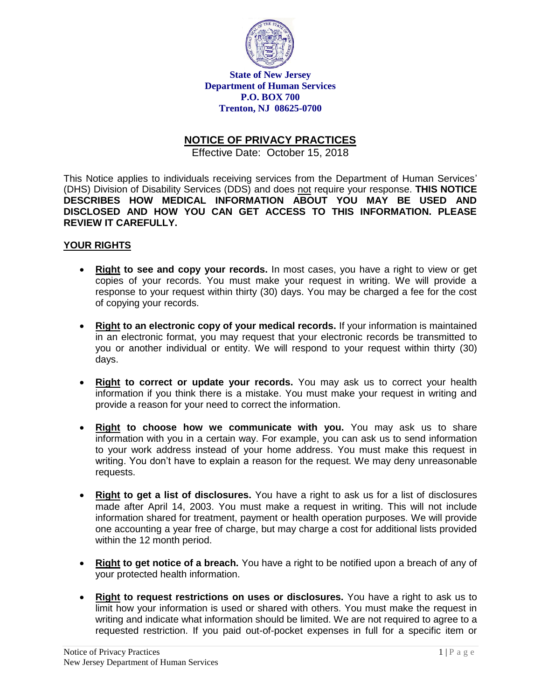

**State of New Jersey Department of Human Services P.O. BOX 700 Trenton, NJ 08625-0700** 

# **NOTICE OF PRIVACY PRACTICES**

Effective Date: October 15, 2018

This Notice applies to individuals receiving services from the Department of Human Services' (DHS) Division of Disability Services (DDS) and does not require your response. **THIS NOTICE DESCRIBES HOW MEDICAL INFORMATION ABOUT YOU MAY BE USED AND DISCLOSED AND HOW YOU CAN GET ACCESS TO THIS INFORMATION. PLEASE REVIEW IT CAREFULLY.**

### **YOUR RIGHTS**

- **Right to see and copy your records.** In most cases, you have a right to view or get copies of your records. You must make your request in writing. We will provide a response to your request within thirty (30) days. You may be charged a fee for the cost of copying your records.
- **Right to an electronic copy of your medical records.** If your information is maintained in an electronic format, you may request that your electronic records be transmitted to you or another individual or entity. We will respond to your request within thirty (30) days.
- **Right to correct or update your records.** You may ask us to correct your health information if you think there is a mistake. You must make your request in writing and provide a reason for your need to correct the information.
- **Right to choose how we communicate with you.** You may ask us to share information with you in a certain way. For example, you can ask us to send information to your work address instead of your home address. You must make this request in writing. You don't have to explain a reason for the request. We may deny unreasonable requests.
- **Right to get a list of disclosures.** You have a right to ask us for a list of disclosures made after April 14, 2003. You must make a request in writing. This will not include information shared for treatment, payment or health operation purposes. We will provide one accounting a year free of charge, but may charge a cost for additional lists provided within the 12 month period.
- **Right to get notice of a breach.** You have a right to be notified upon a breach of any of your protected health information.
- **Right to request restrictions on uses or disclosures.** You have a right to ask us to limit how your information is used or shared with others. You must make the request in writing and indicate what information should be limited. We are not required to agree to a requested restriction. If you paid out-of-pocket expenses in full for a specific item or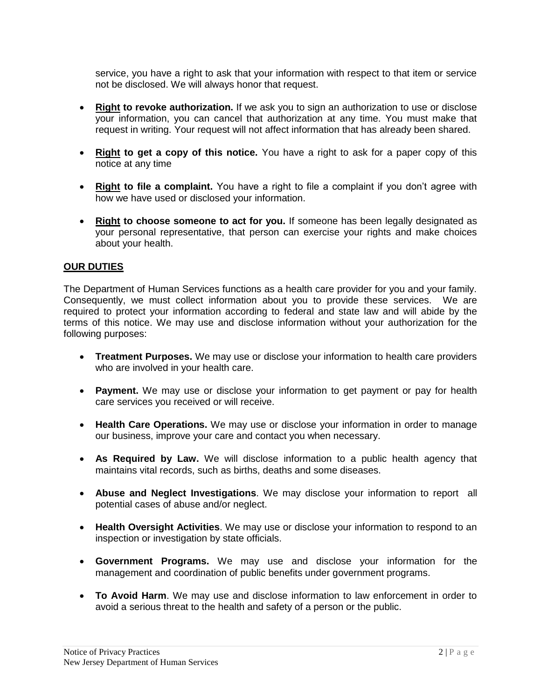service, you have a right to ask that your information with respect to that item or service not be disclosed. We will always honor that request.

- **Right to revoke authorization.** If we ask you to sign an authorization to use or disclose your information, you can cancel that authorization at any time. You must make that request in writing. Your request will not affect information that has already been shared.
- **Right to get a copy of this notice.** You have a right to ask for a paper copy of this notice at any time
- **Right to file a complaint.** You have a right to file a complaint if you don't agree with how we have used or disclosed your information.
- **Right to choose someone to act for you.** If someone has been legally designated as your personal representative, that person can exercise your rights and make choices about your health.

## **OUR DUTIES**

The Department of Human Services functions as a health care provider for you and your family. Consequently, we must collect information about you to provide these services. We are required to protect your information according to federal and state law and will abide by the terms of this notice. We may use and disclose information without your authorization for the following purposes:

- **Treatment Purposes.** We may use or disclose your information to health care providers who are involved in your health care.
- **Payment.** We may use or disclose your information to get payment or pay for health care services you received or will receive.
- **Health Care Operations.** We may use or disclose your information in order to manage our business, improve your care and contact you when necessary.
- **As Required by Law.** We will disclose information to a public health agency that maintains vital records, such as births, deaths and some diseases.
- **Abuse and Neglect Investigations**. We may disclose your information to report all potential cases of abuse and/or neglect.
- **Health Oversight Activities**. We may use or disclose your information to respond to an inspection or investigation by state officials.
- **Government Programs.** We may use and disclose your information for the management and coordination of public benefits under government programs.
- **To Avoid Harm**. We may use and disclose information to law enforcement in order to avoid a serious threat to the health and safety of a person or the public.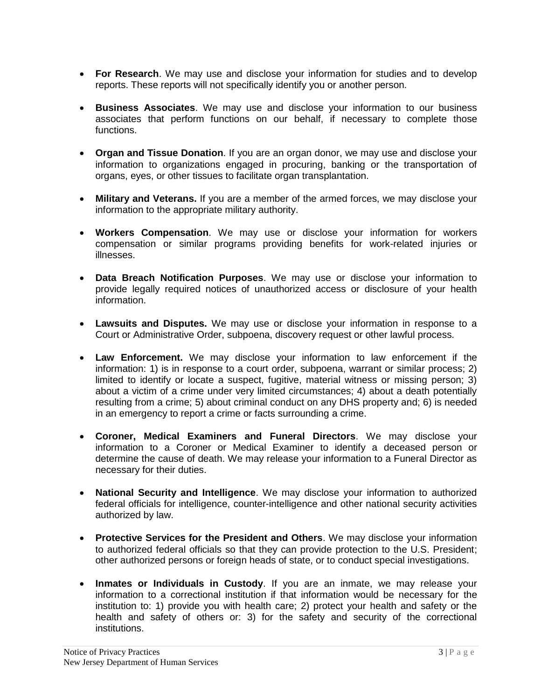- **For Research**. We may use and disclose your information for studies and to develop reports. These reports will not specifically identify you or another person.
- **Business Associates**. We may use and disclose your information to our business associates that perform functions on our behalf, if necessary to complete those functions.
- **Organ and Tissue Donation**. If you are an organ donor, we may use and disclose your information to organizations engaged in procuring, banking or the transportation of organs, eyes, or other tissues to facilitate organ transplantation.
- **Military and Veterans.** If you are a member of the armed forces, we may disclose your information to the appropriate military authority.
- **Workers Compensation**. We may use or disclose your information for workers compensation or similar programs providing benefits for work-related injuries or illnesses.
- **Data Breach Notification Purposes**. We may use or disclose your information to provide legally required notices of unauthorized access or disclosure of your health information.
- **Lawsuits and Disputes.** We may use or disclose your information in response to a Court or Administrative Order, subpoena, discovery request or other lawful process.
- **Law Enforcement.** We may disclose your information to law enforcement if the information: 1) is in response to a court order, subpoena, warrant or similar process; 2) limited to identify or locate a suspect, fugitive, material witness or missing person; 3) about a victim of a crime under very limited circumstances; 4) about a death potentially resulting from a crime; 5) about criminal conduct on any DHS property and; 6) is needed in an emergency to report a crime or facts surrounding a crime.
- **Coroner, Medical Examiners and Funeral Directors**. We may disclose your information to a Coroner or Medical Examiner to identify a deceased person or determine the cause of death. We may release your information to a Funeral Director as necessary for their duties.
- **National Security and Intelligence**. We may disclose your information to authorized federal officials for intelligence, counter-intelligence and other national security activities authorized by law.
- **Protective Services for the President and Others**. We may disclose your information to authorized federal officials so that they can provide protection to the U.S. President; other authorized persons or foreign heads of state, or to conduct special investigations.
- **Inmates or Individuals in Custody**. If you are an inmate, we may release your information to a correctional institution if that information would be necessary for the institution to: 1) provide you with health care; 2) protect your health and safety or the health and safety of others or: 3) for the safety and security of the correctional institutions.